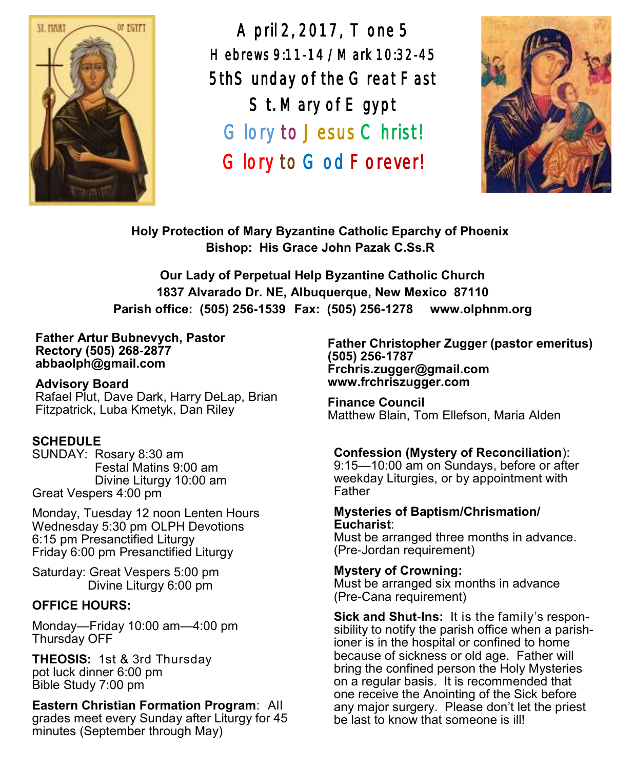

April 2, 2017, Tone 5 Hebrews 9:11-14 /Mark 10:32-45 5thSunday of the Great Fast St. Mary of E gypt Glory to Jesus Christ! Glory to God Forever!



**Holy Protection of Mary Byzantine Catholic Eparchy of Phoenix Bishop: His Grace John Pazak C.Ss.R**

**Our Lady of Perpetual Help Byzantine Catholic Church 1837 Alvarado Dr. NE, Albuquerque, New Mexico 87110 Parish office: (505) 256-1539 Fax: (505) 256-1278 www.olphnm.org**

#### **Father Artur Bubnevych, Pastor Rectory (505) 268-2877 abbaolph@gmail.com**

**Advisory Board**  Rafael Plut, Dave Dark, Harry DeLap, Brian Fitzpatrick, Luba Kmetyk, Dan Riley

# **SCHEDULE**

SUNDAY: Rosary 8:30 am Festal Matins 9:00 am Divine Liturgy 10:00 am Great Vespers 4:00 pm

Monday, Tuesday 12 noon Lenten Hours Wednesday 5:30 pm OLPH Devotions 6:15 pm Presanctified Liturgy Friday 6:00 pm Presanctified Liturgy

Saturday: Great Vespers 5:00 pm Divine Liturgy 6:00 pm

# **OFFICE HOURS:**

Monday—Friday 10:00 am—4:00 pm Thursday OFF

**THEOSIS:** 1st & 3rd Thursday pot luck dinner 6:00 pm Bible Study 7:00 pm

# **Eastern Christian Formation Program**: All

grades meet every Sunday after Liturgy for 45 minutes (September through May)

**Father Christopher Zugger (pastor emeritus) (505) 256-1787 Frchris.zugger@gmail.com www.frchriszugger.com** 

**Finance Council**  Matthew Blain, Tom Ellefson, Maria Alden

# **Confession (Mystery of Reconciliation**):

9:15—10:00 am on Sundays, before or after weekday Liturgies, or by appointment with Father

#### **Mysteries of Baptism/Chrismation/ Eucharist**:

Must be arranged three months in advance. (Pre-Jordan requirement)

# **Mystery of Crowning:**

Must be arranged six months in advance (Pre-Cana requirement)

**Sick and Shut-Ins:** It is the family's responsibility to notify the parish office when a parishioner is in the hospital or confined to home because of sickness or old age. Father will bring the confined person the Holy Mysteries on a regular basis. It is recommended that one receive the Anointing of the Sick before any major surgery. Please don't let the priest be last to know that someone is ill!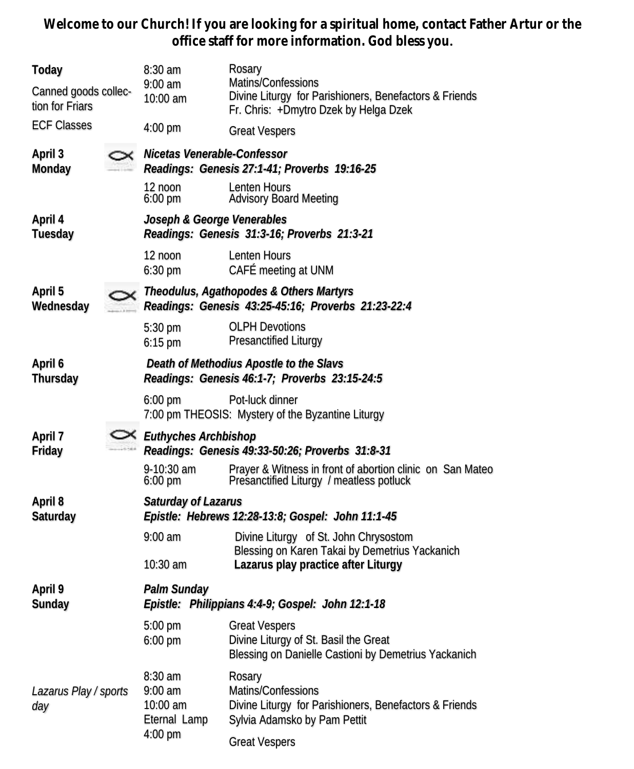**Welcome to our Church! If you are looking for a spiritual home, contact Father Artur or the office staff for more information. God bless you.**

| Today<br>Canned goods collec-<br>tion for Friars |                                                                                               | $8:30$ am<br>$9:00$ am<br>10:00 am                                                       | Rosary<br>Matins/Confessions<br>Divine Liturgy for Parishioners, Benefactors & Friends<br>Fr. Chris: +Dmytro Dzek by Helga Dzek |  |  |
|--------------------------------------------------|-----------------------------------------------------------------------------------------------|------------------------------------------------------------------------------------------|---------------------------------------------------------------------------------------------------------------------------------|--|--|
| <b>ECF Classes</b>                               |                                                                                               | $4:00$ pm                                                                                | <b>Great Vespers</b>                                                                                                            |  |  |
| April 3<br>Monday                                |                                                                                               | Nicetas Venerable-Confessor<br>Readings: Genesis 27:1-41; Proverbs 19:16-25              |                                                                                                                                 |  |  |
|                                                  |                                                                                               | $12$ noon<br>$6:00 \text{ pm}$                                                           | Lenten Hours<br><b>Advisory Board Meeting</b>                                                                                   |  |  |
| April 4<br>Tuesday                               |                                                                                               | Joseph & George Venerables<br>Readings: Genesis 31:3-16; Proverbs 21:3-21                |                                                                                                                                 |  |  |
|                                                  |                                                                                               | 12 noon<br>$6:30$ pm                                                                     | Lenten Hours<br>CAFÉ meeting at UNM                                                                                             |  |  |
| April 5<br>Wednesday                             | Theodulus, Agathopodes & Others Martyrs<br>Readings: Genesis 43:25-45:16; Proverbs 21:23-22:4 |                                                                                          |                                                                                                                                 |  |  |
|                                                  |                                                                                               | 5:30 pm<br>$6:15$ pm                                                                     | <b>OLPH Devotions</b><br>Presanctified Liturgy                                                                                  |  |  |
| April 6<br>Thursday                              |                                                                                               | Death of Methodius Apostle to the Slavs<br>Readings: Genesis 46:1-7; Proverbs 23:15-24:5 |                                                                                                                                 |  |  |
|                                                  |                                                                                               | $6:00 \text{ pm}$                                                                        | Pot-luck dinner<br>7:00 pm THEOSIS: Mystery of the Byzantine Liturgy                                                            |  |  |
| April 7<br>Friday                                |                                                                                               | $\times$ Euthyches Archbishop<br>Readings: Genesis 49:33-50:26; Proverbs 31:8-31         |                                                                                                                                 |  |  |
|                                                  |                                                                                               | 9-10:30 am<br>$6:00 \text{ pm}$                                                          | Prayer & Witness in front of abortion clinic on San Mateo<br>Presanctified Liturgy / meatless potluck                           |  |  |
| April 8<br>Saturday                              |                                                                                               | Saturday of Lazarus<br>Epistle: Hebrews 12:28-13:8; Gospel: John 11:1-45                 |                                                                                                                                 |  |  |
|                                                  |                                                                                               | $9:00$ am                                                                                | Divine Liturgy of St. John Chrysostom<br>Blessing on Karen Takai by Demetrius Yackanich                                         |  |  |
|                                                  |                                                                                               | $10:30$ am                                                                               | Lazarus play practice after Liturgy                                                                                             |  |  |
| April 9<br>Sunday                                |                                                                                               | Palm Sunday<br>Epistle: Philippians 4:4-9; Gospel: John 12:1-18                          |                                                                                                                                 |  |  |
|                                                  |                                                                                               | 5:00 pm Great Vespers<br>6:00 pm                                                         | Divine Liturgy of St. Basil the Great<br>Blessing on Danielle Castioni by Demetrius Yackanich                                   |  |  |
| Lazarus Play / sports<br>day                     |                                                                                               | $8:30$ am<br>$9:00$ am<br>10:00 am<br>Eternal Lamp<br>$4:00$ pm                          | Rosary<br>Matins/Confessions<br>Divine Liturgy for Parishioners, Benefactors & Friends<br>Sylvia Adamsko by Pam Pettit          |  |  |
|                                                  |                                                                                               |                                                                                          | <b>Great Vespers</b>                                                                                                            |  |  |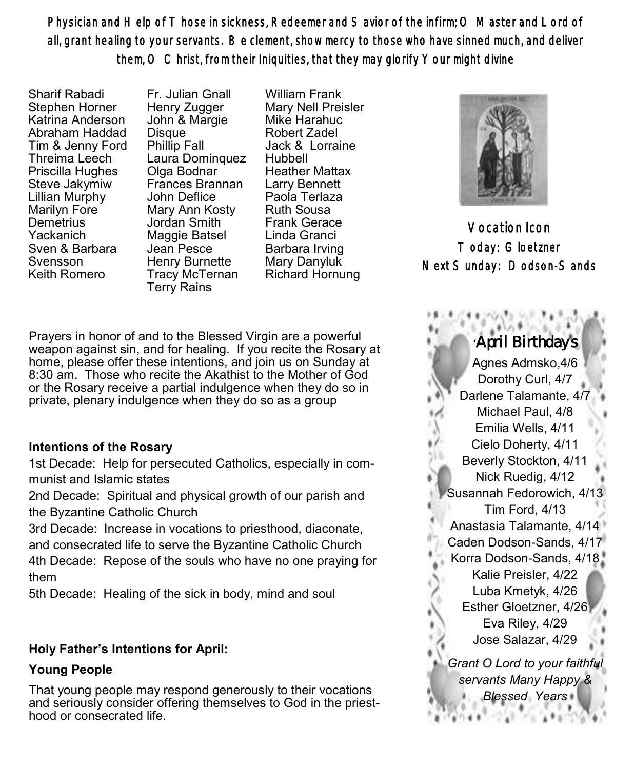Physician and Help of Those in sickness, Redeemer and Savior of the infirm; O Master and Lord of all, grant healing to your servants. Be clement, show mercy to those who have sinned much, and deliver them, O Christ, from their Iniquities, that they may glorify Your might divine

Sharif Rabadi Stephen Horner Katrina Anderson Abraham Haddad Tim & Jenny Ford Threima Leech Priscilla Hughes Steve Jakymiw Lillian Murphy Marilyn Fore **Demetrius** Yackanich Sven & Barbara Svensson Keith Romero

Fr. Julian Gnall Henry Zugger John & Margie **Disque** Phillip Fall Laura Dominquez Olga Bodnar Frances Brannan John Deflice Mary Ann Kosty Jordan Smith Maggie Batsel Jean Pesce Henry Burnette Tracy McTernan Terry Rains

William Frank Mary Nell Preisler Mike Harahuc Robert Zadel Jack & Lorraine Hubbell Heather Mattax Larry Bennett Paola Terlaza Ruth Sousa Frank Gerace Linda Granci Barbara Irving Mary Danyluk Richard Hornung



Vocation Icon Today: Gloetzner Next Sunday: Dodson-Sands

Prayers in honor of and to the Blessed Virgin are a powerful weapon against sin, and for healing. If you recite the Rosary at home, please offer these intentions, and join us on Sunday at 8:30 am. Those who recite the Akathist to the Mother of God or the Rosary receive a partial indulgence when they do so in private, plenary indulgence when they do so as a group

# **Intentions of the Rosary**

1st Decade: Help for persecuted Catholics, especially in communist and Islamic states

2nd Decade: Spiritual and physical growth of our parish and the Byzantine Catholic Church

3rd Decade: Increase in vocations to priesthood, diaconate, and consecrated life to serve the Byzantine Catholic Church 4th Decade: Repose of the souls who have no one praying for them

5th Decade: Healing of the sick in body, mind and soul

# **Holy Father's Intentions for April:**

# **Young People**

That young people may respond generously to their vocations and seriously consider offering themselves to God in the priesthood or consecrated life.

# 'April Birthdays

Agnes Admsko,4/6 Dorothy Curl, 4/7 Darlene Talamante, 4/7 Michael Paul, 4/8 Emilia Wells, 4/11 Cielo Doherty, 4/11 Beverly Stockton, 4/11 Nick Ruedig, 4/12 Susannah Fedorowich, 4/13 Tim Ford, 4/13 Anastasia Talamante, 4/14 Caden Dodson-Sands, 4/17 Korra Dodson-Sands, 4/18 Kalie Preisler, 4/22 Luba Kmetyk, 4/26 Esther Gloetzner, 4/26 Eva Riley, 4/29 Jose Salazar, 4/29 *Grant O Lord to your faithful servants Many Happy &* 

*Blessed Years*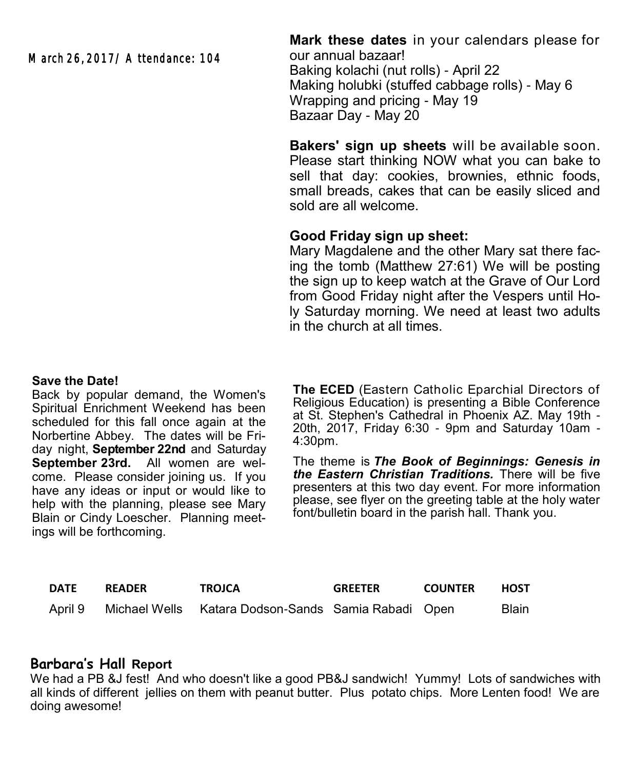March 26, 2017/ Attendance: 104

**Mark these dates** in your calendars please for our annual bazaar! Baking kolachi (nut rolls) - April 22 Making holubki (stuffed cabbage rolls) - May 6 Wrapping and pricing - May 19 Bazaar Day - May 20

**Bakers' sign up sheets** will be available soon. Please start thinking NOW what you can bake to sell that day: cookies, brownies, ethnic foods, small breads, cakes that can be easily sliced and sold are all welcome.

# **Good Friday sign up sheet:**

Mary Magdalene and the other Mary sat there facing the tomb (Matthew 27:61) We will be posting the sign up to keep watch at the Grave of Our Lord from Good Friday night after the Vespers until Holy Saturday morning. We need at least two adults in the church at all times.

#### **Save the Date!**

Back by popular demand, the Women's Spiritual Enrichment Weekend has been scheduled for this fall once again at the Norbertine Abbey. The dates will be Friday night, **September 22nd** and Saturday **September 23rd.** All women are welcome. Please consider joining us. If you have any ideas or input or would like to help with the planning, please see Mary Blain or Cindy Loescher. Planning meetings will be forthcoming.

**The ECED** (Eastern Catholic Eparchial Directors of Religious Education) is presenting a Bible Conference at St. Stephen's Cathedral in Phoenix AZ. May 19th - 20th, 2017, Friday 6:30 - 9pm and Saturday 10am - 4:30pm.

The theme is *The Book of Beginnings: Genesis in the Eastern Christian Traditions.* There will be five presenters at this two day event. For more information please, see flyer on the greeting table at the holy water font/bulletin board in the parish hall. Thank you.

| DATE    | <b>READER</b> | <b>TROJCA</b>                                             | <b>GREETER</b> | <b>COUNTER</b> | HOST         |
|---------|---------------|-----------------------------------------------------------|----------------|----------------|--------------|
| April 9 |               | ○ Michael Wells  Katara Dodson-Sands  Samia Rabadi   Open |                |                | <b>Blain</b> |

# **Barbara's Hall Report**

We had a PB &J fest! And who doesn't like a good PB&J sandwich! Yummy! Lots of sandwiches with all kinds of different jellies on them with peanut butter. Plus potato chips. More Lenten food! We are doing awesome!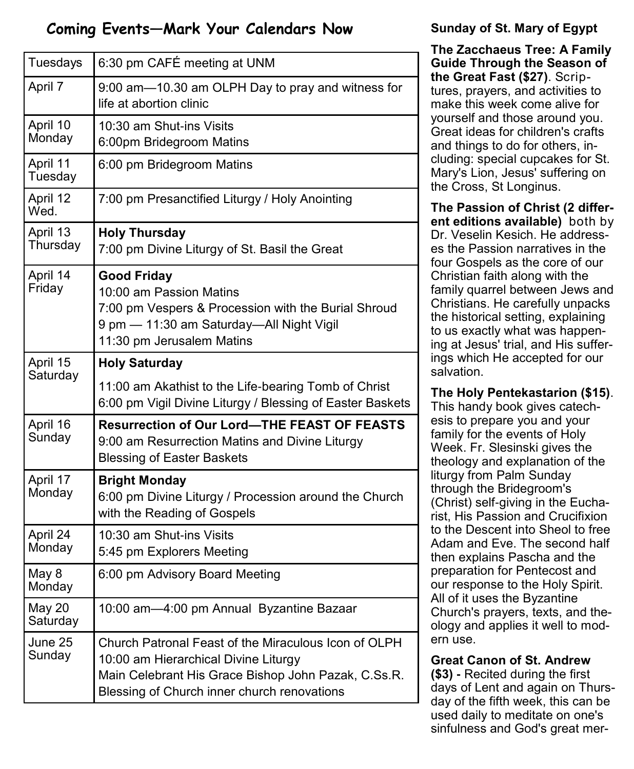# **Coming Events—Mark Your Calendars Now**

| Tuesdays             | 6:30 pm CAFÉ meeting at UNM                                                                                                                                                                        |  |  |  |
|----------------------|----------------------------------------------------------------------------------------------------------------------------------------------------------------------------------------------------|--|--|--|
| April 7              | 9:00 am-10.30 am OLPH Day to pray and witness for<br>life at abortion clinic                                                                                                                       |  |  |  |
| April 10<br>Monday   | 10:30 am Shut-ins Visits<br>6:00pm Bridegroom Matins                                                                                                                                               |  |  |  |
| April 11<br>Tuesday  | 6:00 pm Bridegroom Matins                                                                                                                                                                          |  |  |  |
| April 12<br>Wed.     | 7:00 pm Presanctified Liturgy / Holy Anointing                                                                                                                                                     |  |  |  |
| April 13<br>Thursday | <b>Holy Thursday</b><br>7:00 pm Divine Liturgy of St. Basil the Great                                                                                                                              |  |  |  |
| April 14<br>Friday   | <b>Good Friday</b><br>10:00 am Passion Matins<br>7:00 pm Vespers & Procession with the Burial Shroud<br>9 pm - 11:30 am Saturday-All Night Vigil<br>11:30 pm Jerusalem Matins                      |  |  |  |
| April 15<br>Saturday | <b>Holy Saturday</b>                                                                                                                                                                               |  |  |  |
|                      | 11:00 am Akathist to the Life-bearing Tomb of Christ<br>6:00 pm Vigil Divine Liturgy / Blessing of Easter Baskets                                                                                  |  |  |  |
| April 16<br>Sunday   | <b>Resurrection of Our Lord-THE FEAST OF FEASTS</b><br>9:00 am Resurrection Matins and Divine Liturgy<br><b>Blessing of Easter Baskets</b>                                                         |  |  |  |
| April 17<br>Monday   | <b>Bright Monday</b><br>6:00 pm Divine Liturgy / Procession around the Church<br>with the Reading of Gospels                                                                                       |  |  |  |
| April 24<br>Monday   | 10:30 am Shut-ins Visits<br>5:45 pm Explorers Meeting                                                                                                                                              |  |  |  |
| May 8<br>Monday      | 6:00 pm Advisory Board Meeting                                                                                                                                                                     |  |  |  |
| May 20<br>Saturday   | 10:00 am-4:00 pm Annual Byzantine Bazaar                                                                                                                                                           |  |  |  |
| June 25<br>Sunday    | Church Patronal Feast of the Miraculous Icon of OLPH<br>10:00 am Hierarchical Divine Liturgy<br>Main Celebrant His Grace Bishop John Pazak, C.Ss.R.<br>Blessing of Church inner church renovations |  |  |  |

# **Sunday of St. Mary of Egypt**

**The Zacchaeus Tree: A Family Guide Through the Season of the Great Fast (\$27)**. Scriptures, prayers, and activities to make this week come alive for yourself and those around you. Great ideas for children's crafts and things to do for others, including: special cupcakes for St. Mary's Lion, Jesus' suffering on the Cross, St Longinus.

**The Passion of Christ (2 different editions available)** both by Dr. Veselin Kesich. He addresses the Passion narratives in the four Gospels as the core of our Christian faith along with the family quarrel between Jews and Christians. He carefully unpacks the historical setting, explaining to us exactly what was happening at Jesus' trial, and His sufferings which He accepted for our salvation.

# **The Holy Pentekastarion (\$15)**.

This handy book gives catechesis to prepare you and your family for the events of Holy Week. Fr. Slesinski gives the theology and explanation of the liturgy from Palm Sunday through the Bridegroom's (Christ) self-giving in the Eucharist, His Passion and Crucifixion to the Descent into Sheol to free Adam and Eve. The second half then explains Pascha and the preparation for Pentecost and our response to the Holy Spirit. All of it uses the Byzantine Church's prayers, texts, and theology and applies it well to modern use.

# **Great Canon of St. Andrew**

**(\$3) -** Recited during the first days of Lent and again on Thursday of the fifth week, this can be used daily to meditate on one's sinfulness and God's great mer-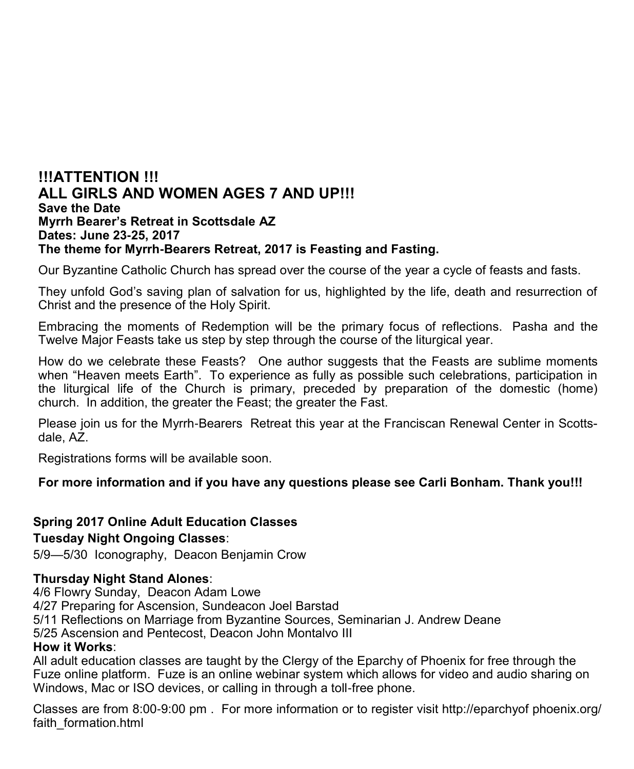# **!!!ATTENTION !!! ALL GIRLS AND WOMEN AGES 7 AND UP!!! Save the Date Myrrh Bearer's Retreat in Scottsdale AZ Dates: June 23-25, 2017 The theme for Myrrh-Bearers Retreat, 2017 is Feasting and Fasting.**

Our Byzantine Catholic Church has spread over the course of the year a cycle of feasts and fasts.

They unfold God's saving plan of salvation for us, highlighted by the life, death and resurrection of Christ and the presence of the Holy Spirit.

Embracing the moments of Redemption will be the primary focus of reflections. Pasha and the Twelve Major Feasts take us step by step through the course of the liturgical year.

How do we celebrate these Feasts? One author suggests that the Feasts are sublime moments when "Heaven meets Earth". To experience as fully as possible such celebrations, participation in the liturgical life of the Church is primary, preceded by preparation of the domestic (home) church. In addition, the greater the Feast; the greater the Fast.

Please join us for the Myrrh-Bearers Retreat this year at the Franciscan Renewal Center in Scottsdale, AZ.

Registrations forms will be available soon.

# **For more information and if you have any questions please see Carli Bonham. Thank you!!!**

# **Spring 2017 Online Adult Education Classes**

# **Tuesday Night Ongoing Classes**:

5/9—5/30 Iconography, Deacon Benjamin Crow

# **Thursday Night Stand Alones**:

4/6 Flowry Sunday, Deacon Adam Lowe

4/27 Preparing for Ascension, Sundeacon Joel Barstad

5/11 Reflections on Marriage from Byzantine Sources, Seminarian J. Andrew Deane

5/25 Ascension and Pentecost, Deacon John Montalvo III

# **How it Works**:

All adult education classes are taught by the Clergy of the Eparchy of Phoenix for free through the Fuze online platform. Fuze is an online webinar system which allows for video and audio sharing on Windows, Mac or ISO devices, or calling in through a toll-free phone.

Classes are from 8:00-9:00 pm . For more information or to register visit http://eparchyof phoenix.org/ faith\_formation.html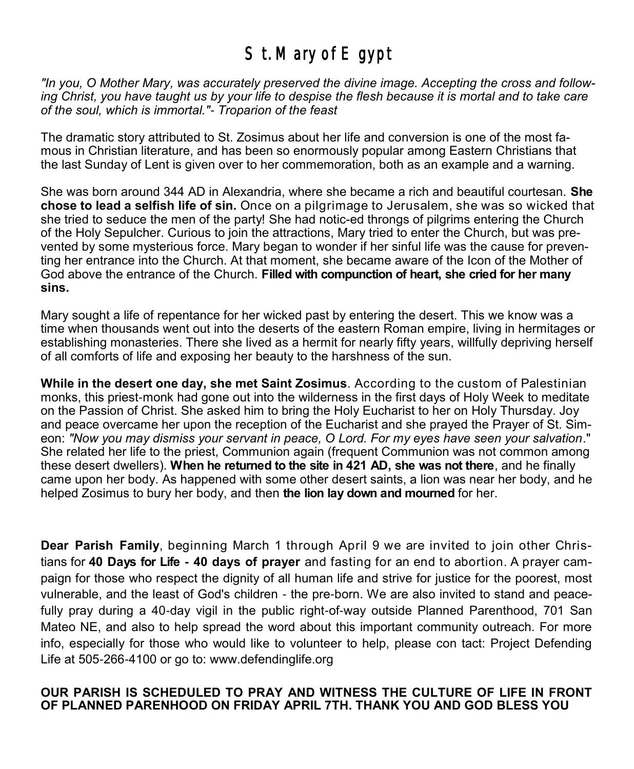# St. Mary of Egypt

*"In you, O Mother Mary, was accurately preserved the divine image. Accepting the cross and following Christ, you have taught us by your life to despise the flesh because it is mortal and to take care of the soul, which is immortal."- Troparion of the feast*

The dramatic story attributed to St. Zosimus about her life and conversion is one of the most famous in Christian literature, and has been so enormously popular among Eastern Christians that the last Sunday of Lent is given over to her commemoration, both as an example and a warning.

She was born around 344 AD in Alexandria, where she became a rich and beautiful courtesan. **She chose to lead a selfish life of sin.** Once on a pilgrimage to Jerusalem, she was so wicked that she tried to seduce the men of the party! She had notic-ed throngs of pilgrims entering the Church of the Holy Sepulcher. Curious to join the attractions, Mary tried to enter the Church, but was prevented by some mysterious force. Mary began to wonder if her sinful life was the cause for preventing her entrance into the Church. At that moment, she became aware of the Icon of the Mother of God above the entrance of the Church. **Filled with compunction of heart, she cried for her many sins.**

Mary sought a life of repentance for her wicked past by entering the desert. This we know was a time when thousands went out into the deserts of the eastern Roman empire, living in hermitages or establishing monasteries. There she lived as a hermit for nearly fifty years, willfully depriving herself of all comforts of life and exposing her beauty to the harshness of the sun.

**While in the desert one day, she met Saint Zosimus**. According to the custom of Palestinian monks, this priest-monk had gone out into the wilderness in the first days of Holy Week to meditate on the Passion of Christ. She asked him to bring the Holy Eucharist to her on Holy Thursday. Joy and peace overcame her upon the reception of the Eucharist and she prayed the Prayer of St. Simeon: *"Now you may dismiss your servant in peace, O Lord. For my eyes have seen your salvation*." She related her life to the priest, Communion again (frequent Communion was not common among these desert dwellers). **When he returned to the site in 421 AD, she was not there**, and he finally came upon her body. As happened with some other desert saints, a lion was near her body, and he helped Zosimus to bury her body, and then **the lion lay down and mourned** for her.

**Dear Parish Family**, beginning March 1 through April 9 we are invited to join other Christians for **40 Days for Life - 40 days of prayer** and fasting for an end to abortion. A prayer campaign for those who respect the dignity of all human life and strive for justice for the poorest, most vulnerable, and the least of God's children - the pre-born. We are also invited to stand and peacefully pray during a 40-day vigil in the public right-of-way outside Planned Parenthood, 701 San Mateo NE, and also to help spread the word about this important community outreach. For more info, especially for those who would like to volunteer to help, please con tact: Project Defending Life at 505-266-[4100](tel:%28505%29%20266-4100) or go to: [www.defendinglife.org](http://www.defendinglife.org) 

#### **OUR PARISH IS SCHEDULED TO PRAY AND WITNESS THE CULTURE OF LIFE IN FRONT OF PLANNED PARENHOOD ON FRIDAY APRIL 7TH. THANK YOU AND GOD BLESS YOU**